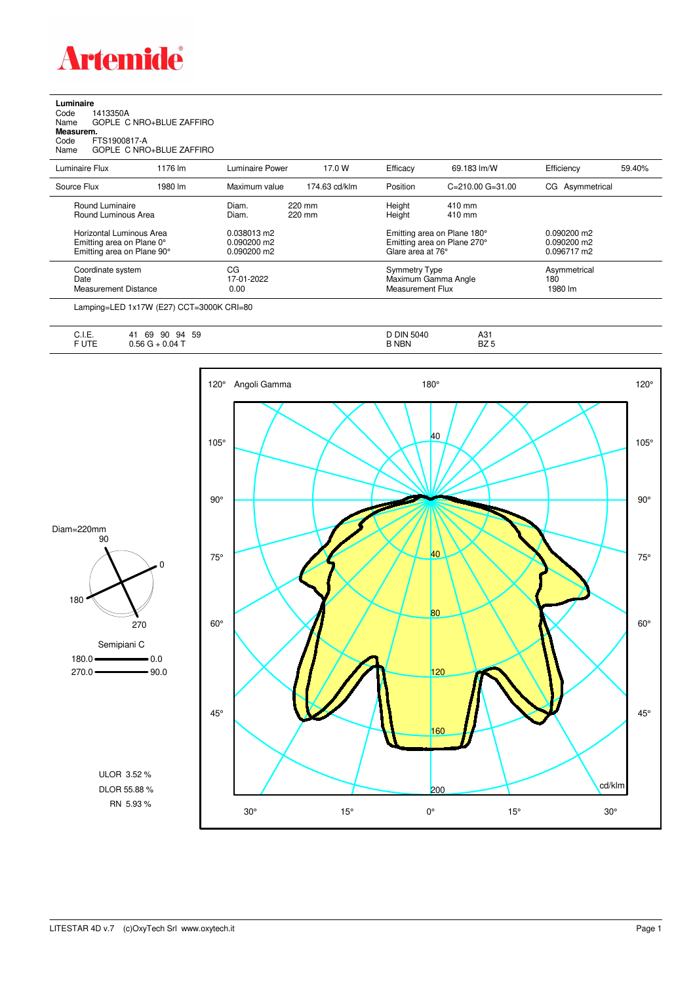

**Luminaire**<br>Code 1<br>Name ( Code 1413350A Name GOPLE C NRO+BLUE ZAFFIRO **Measurem.**

Code FTS1900817-A Name GOPLE C NRO+BLUE ZAFFIRO

| Luminaire Flux                                                                      | 1176 lm | Luminaire Power                               | 17.0 W           | Efficacy                                 | 69.183 lm/W                                                | Efficiency                                    | 59.40% |
|-------------------------------------------------------------------------------------|---------|-----------------------------------------------|------------------|------------------------------------------|------------------------------------------------------------|-----------------------------------------------|--------|
| Source Flux                                                                         | 1980 lm | Maximum value                                 | 174.63 cd/klm    | Position                                 | $C = 210.00$ $G = 31.00$                                   | CG Asymmetrical                               |        |
| Round Luminaire<br>Round Luminous Area                                              |         | Diam.<br>Diam.                                | 220 mm<br>220 mm | Height<br>Height                         | 410 mm<br>410 mm                                           |                                               |        |
| Horizontal Luminous Area<br>Emitting area on Plane 0°<br>Emitting area on Plane 90° |         | 0.038013 m2<br>$0.090200$ m2<br>$0.090200$ m2 |                  | Glare area at 76°                        | Emitting area on Plane 180°<br>Emitting area on Plane 270° | $0.090200$ m2<br>$0.090200$ m2<br>0.096717 m2 |        |
| Coordinate system<br>Date<br><b>Measurement Distance</b>                            |         | CG<br>17-01-2022<br>0.00                      |                  | <b>Symmetry Type</b><br>Measurement Flux | Maximum Gamma Angle                                        | Asymmetrical<br>180<br>1980 lm                |        |
|                                                                                     |         |                                               |                  |                                          |                                                            |                                               |        |

Lamping=LED 1x17W (E27) CCT=3000K CRI=80

| .<br>--<br>∪. I.⊏.       | 59<br>69<br>90<br>94<br>4   | DIN<br>5040<br>ັ | A31                    |
|--------------------------|-----------------------------|------------------|------------------------|
| <b>CLITE</b><br>∣∣⊨<br>ີ | $\sim$ $\sim$<br>0.04<br>nr | <b>NBN</b><br>◡  | D <sub>7</sub><br>BZ 5 |